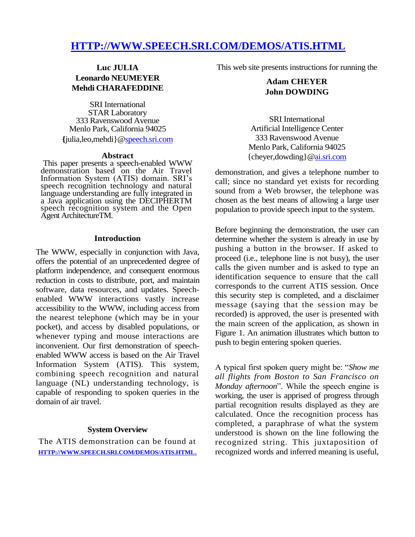# **HTTP://WWW.SPEECH.SRI.COM/DEMOS/ATIS.HTML**

# **Luc JULIA Leonardo NEUMEYER Mehdi CHARAFEDDINE**

SRI International STAR Laboratory 333 Ravenswood Avenue Menlo Park, California 94025 **{**julia,leo,mehdi}[@speech.sri.com](http://speech.sri.com/)

#### **Abstract**

This paper presents a speech-enabled WWW demonstration based on the Air Travel Information System (ATIS) domain. SRI's speech recognition technology and natural language understanding are fully integrated in a Java application using the DECIPHERTM speech recognition system and the Open Agent ArchitectureTM.

#### **Introduction**

The WWW, especially in conjunction with Java, offers the potential of an unprecedented degree of platform independence, and consequent enormous reduction in costs to distribute, port, and maintain software, data resources, and updates. Speechenabled WWW interactions vastly increase accessibility to the WWW, including access from the nearest telephone (which may be in your pocket), and access by disabled populations, or whenever typing and mouse interactions are inconvenient. Our first demonstration of speechenabled WWW access is based on the Air Travel Information System (ATIS). This system, combining speech recognition and natural language (NL) understanding technology, is capable of responding to spoken queries in the domain of air travel.

#### **System Overview**

The ATIS demonstration can be found at **[HTTP://WWW.SPEECH.SRI.COM/DEMOS/ATIS.HTML](http://www.speech.sri.com/DEMOS/ATIS.HTML.)**. This web site presents instructions for running the

## **Adam CHEYER John DOWDING**

SRI International Artificial Intelligence Center 333 Ravenswood Avenue Menlo Park, California 94025 {cheyer,dowding}[@ai.sri.com](http://ai.sri.com/)

demonstration, and gives a telephone number to call; since no standard yet exists for recording sound from a Web browser, the telephone was chosen as the best means of allowing a large user population to provide speech input to the system.

Before beginning the demonstration, the user can determine whether the system is already in use by pushing a button in the browser. If asked to proceed (i.e., telephone line is not busy), the user calls the given number and is asked to type an identification sequence to ensure that the call corresponds to the current ATIS session. Once this security step is completed, and a disclaimer message (saying that the session may be recorded) is approved, the user is presented with the main screen of the application, as shown in Figure 1. An animation illustrates which button to push to begin entering spoken queries.

A typical first spoken query might be: "*Show me all flights from Boston to San Francisco on Monday afternoon*". While the speech engine is working, the user is apprised of progress through partial recognition results displayed as they are calculated. Once the recognition process has completed, a paraphrase of what the system understood is shown on the line following the recognized string. This juxtaposition of recognized words and inferred meaning is useful,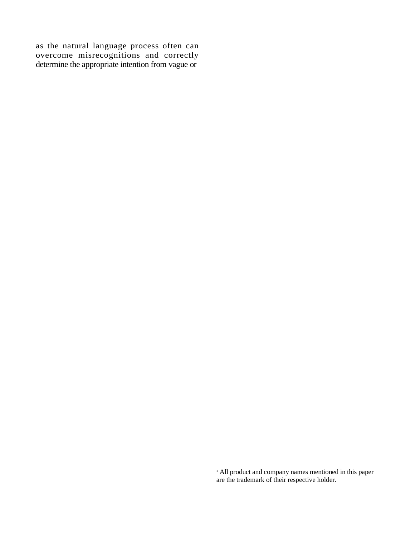as the natural language process often can overcome misrecognitions and correctly determine the appropriate intention from vague or

> <sup>1</sup> All product and company names mentioned in this paper are the trademark of their respective holder.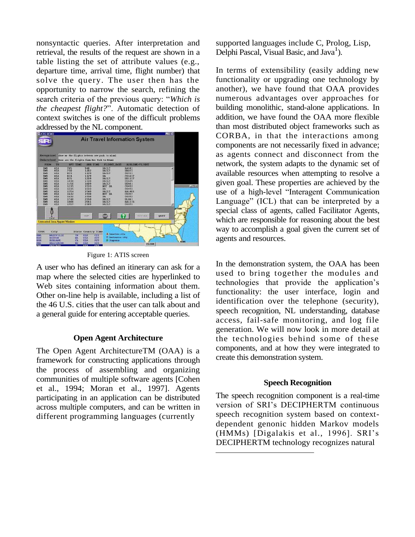nonsyntactic queries. After interpretation and retrieval, the results of the request are shown in a table listing the set of attribute values (e.g., departure time, arrival time, flight number) that solve the query. The user then has the opportunity to narrow the search, refining the search criteria of the previous query: "*Which is the cheapest flight?*". Automatic detection of context switches is one of the difficult problems addressed by the NL component.



Figure 1: ATIS screen

A user who has defined an itinerary can ask for a map where the selected cities are hyperlinked to Web sites containing information about them. Other on-line help is available, including a list of the 46 U.S. cities that the user can talk about and a general guide for entering acceptable queries.

#### **Open Agent Architecture**

The Open Agent ArchitectureTM (OAA) is a framework for constructing applications through the process of assembling and organizing communities of multiple software agents [Cohen et al., 1994; Moran et al., 1997]. Agents participating in an application can be distributed across multiple computers, and can be written in different programming languages (currently

supported languages include C, Prolog, Lisp, Delphi Pascal, Visual Basic, and  $Java<sup>1</sup>$ ).

In terms of extensibility (easily adding new functionality or upgrading one technology by another), we have found that OAA provides numerous advantages over approaches for building monolithic, stand-alone applications. In addition, we have found the OAA more flexible than most distributed object frameworks such as CORBA, in that the interactions among components are not necessarily fixed in advance; as agents connect and disconnect from the network, the system adapts to the dynamic set of available resources when attempting to resolve a given goal. These properties are achieved by the use of a high-level "Interagent Communication Language" (ICL) that can be interpreted by a special class of agents, called Facilitator Agents, which are responsible for reasoning about the best way to accomplish a goal given the current set of agents and resources.

In the demonstration system, the OAA has been used to bring together the modules and technologies that provide the application's functionality: the user interface, login and identification over the telephone (security), speech recognition, NL understanding, database access, fail-safe monitoring, and log file generation. We will now look in more detail at the technologies behind some of these components, and at how they were integrated to create this demonstration system.

#### **Speech Recognition**

The speech recognition component is a real-time version of SRI's DECIPHERTM continuous speech recognition system based on contextdependent genonic hidden Markov models (HMMs) [Digalakis et al., 1996]. SRI's DECIPHERTM technology recognizes natural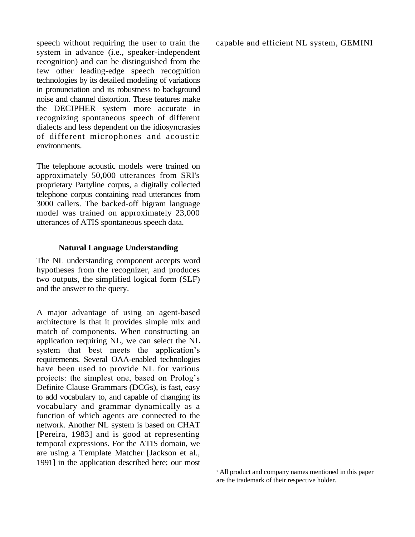speech without requiring the user to train the system in advance (i.e., speaker-independent recognition) and can be distinguished from the few other leading-edge speech recognition technologies by its detailed modeling of variations in pronunciation and its robustness to background noise and channel distortion. These features make the DECIPHER system more accurate in recognizing spontaneous speech of different dialects and less dependent on the idiosyncrasies of different microphones and acoustic environments.

The telephone acoustic models were trained on approximately 50,000 utterances from SRI's proprietary Partyline corpus, a digitally collected telephone corpus containing read utterances from 3000 callers. The backed-off bigram language model was trained on approximately 23,000 utterances of ATIS spontaneous speech data.

#### **Natural Language Understanding**

The NL understanding component accepts word hypotheses from the recognizer, and produces two outputs, the simplified logical form (SLF) and the answer to the query.

A major advantage of using an agent-based architecture is that it provides simple mix and match of components. When constructing an application requiring NL, we can select the NL system that best meets the application's requirements. Several OAA-enabled technologies have been used to provide NL for various projects: the simplest one, based on Prolog's Definite Clause Grammars (DCGs), is fast, easy to add vocabulary to, and capable of changing its vocabulary and grammar dynamically as a function of which agents are connected to the network. Another NL system is based on CHAT [Pereira, 1983] and is good at representing temporal expressions. For the ATIS domain, we are using a Template Matcher [Jackson et al., 1991] in the application described here; our most capable and efficient NL system, GEMINI

<sup>1</sup> All product and company names mentioned in this paper are the trademark of their respective holder.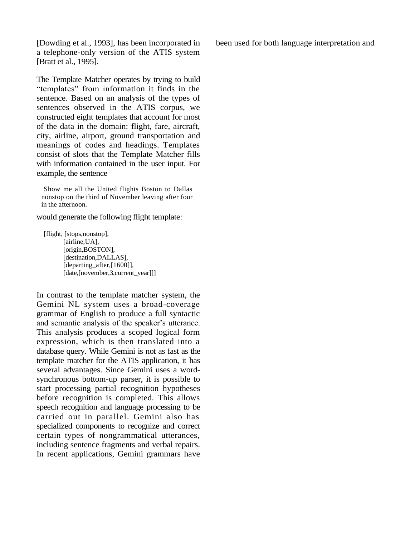[Dowding et al., 1993], has been incorporated in a telephone-only version of the ATIS system [Bratt et al., 1995].

The Template Matcher operates by trying to build "templates" from information it finds in the sentence. Based on an analysis of the types of sentences observed in the ATIS corpus, we constructed eight templates that account for most of the data in the domain: flight, fare, aircraft, city, airline, airport, ground transportation and meanings of codes and headings. Templates consist of slots that the Template Matcher fills with information contained in the user input. For example, the sentence

Show me all the United flights Boston to Dallas nonstop on the third of November leaving after four in the afternoon.

would generate the following flight template:

[flight, [stops,nonstop], [airline,UA], [origin,BOSTON], [destination,DALLAS], [departing\_after,[1600]], [date,[november,3,current\_year]]]

In contrast to the template matcher system, the Gemini NL system uses a broad-coverage grammar of English to produce a full syntactic and semantic analysis of the speaker's utterance. This analysis produces a scoped logical form expression, which is then translated into a database query. While Gemini is not as fast as the template matcher for the ATIS application, it has several advantages. Since Gemini uses a wordsynchronous bottom-up parser, it is possible to start processing partial recognition hypotheses before recognition is completed. This allows speech recognition and language processing to be carried out in parallel. Gemini also has specialized components to recognize and correct certain types of nongrammatical utterances, including sentence fragments and verbal repairs. In recent applications, Gemini grammars have been used for both language interpretation and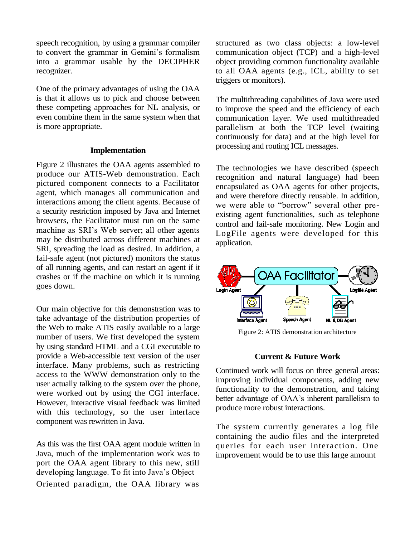speech recognition, by using a grammar compiler to convert the grammar in Gemini's formalism into a grammar usable by the DECIPHER recognizer.

One of the primary advantages of using the OAA is that it allows us to pick and choose between these competing approaches for NL analysis, or even combine them in the same system when that is more appropriate.

#### **Implementation**

Figure 2 illustrates the OAA agents assembled to produce our ATIS-Web demonstration. Each pictured component connects to a Facilitator agent, which manages all communication and interactions among the client agents. Because of a security restriction imposed by Java and Internet browsers, the Facilitator must run on the same machine as SRI's Web server; all other agents may be distributed across different machines at SRI, spreading the load as desired. In addition, a fail-safe agent (not pictured) monitors the status of all running agents, and can restart an agent if it crashes or if the machine on which it is running goes down.

Our main objective for this demonstration was to take advantage of the distribution properties of the Web to make ATIS easily available to a large number of users. We first developed the system by using standard HTML and a CGI executable to provide a Web-accessible text version of the user interface. Many problems, such as restricting access to the WWW demonstration only to the user actually talking to the system over the phone, were worked out by using the CGI interface. However, interactive visual feedback was limited with this technology, so the user interface component was rewritten in Java.

As this was the first OAA agent module written in Java, much of the implementation work was to port the OAA agent library to this new, still developing language. To fit into Java's Object Oriented paradigm, the OAA library was

structured as two class objects: a low-level communication object (TCP) and a high-level object providing common functionality available to all OAA agents (e.g., ICL, ability to set triggers or monitors).

The multithreading capabilities of Java were used to improve the speed and the efficiency of each communication layer. We used multithreaded parallelism at both the TCP level (waiting continuously for data) and at the high level for processing and routing ICL messages.

The technologies we have described (speech recognition and natural language) had been encapsulated as OAA agents for other projects, and were therefore directly reusable. In addition, we were able to "borrow" several other preexisting agent functionalities, such as telephone control and fail-safe monitoring. New Login and LogFile agents were developed for this application.



Figure 2: ATIS demonstration architecture

### **Current & Future Work**

Continued work will focus on three general areas: improving individual components, adding new functionality to the demonstration, and taking better advantage of OAA's inherent parallelism to produce more robust interactions.

The system currently generates a log file containing the audio files and the interpreted queries for each user interaction. One improvement would be to use this large amount